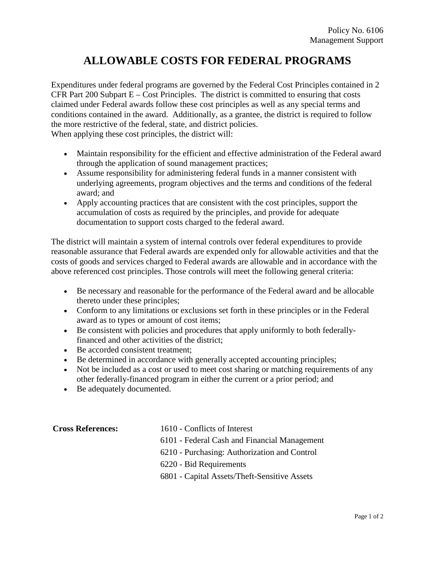## **ALLOWABLE COSTS FOR FEDERAL PROGRAMS**

Expenditures under federal programs are governed by the Federal Cost Principles contained in [2](http://www.ecfr.gov/cgi-bin/text-idx?SID=21cb732fbc280a1b9439181aeb58fdc8&node=sp2.1.200.e&rgn=div6)  CFR Part  $200$  Subpart  $E - Cost$  Principles. The district is committed to ensuring that costs claimed under Federal awards follow these cost principles as well as any special terms and conditions contained in the award. Additionally, as a grantee, the district is required to follow the more restrictive of the federal, state, and district policies. When applying these cost principles, the district will:

- Maintain responsibility for the efficient and effective administration of the Federal award through the application of sound management practices;
- Assume responsibility for administering federal funds in a manner consistent with underlying agreements, program objectives and the terms and conditions of the federal award; and
- Apply accounting practices that are consistent with the cost principles, support the accumulation of costs as required by the principles, and provide for adequate documentation to support costs charged to the federal award.

The district will maintain a system of internal controls over federal expenditures to provide reasonable assurance that Federal awards are expended only for allowable activities and that the costs of goods and services charged to Federal awards are allowable and in accordance with the above referenced cost principles. Those controls will meet the following general criteria:

- Be necessary and reasonable for the performance of the Federal award and be allocable thereto under these principles;
- Conform to any limitations or exclusions set forth in these principles or in the Federal award as to types or amount of cost items;
- Be consistent with policies and procedures that apply uniformly to both federallyfinanced and other activities of the district;
- Be accorded consistent treatment:
- Be determined in accordance with generally accepted accounting principles;
- Not be included as a cost or used to meet cost sharing or matching requirements of any other federally-financed program in either the current or a prior period; and
- Be adequately documented.

**Cross References:** 1610 - Conflicts of Interest

6101 - Federal Cash and Financial Management

6210 - Purchasing: Authorization and Control

6220 - Bid Requirements

6801 - Capital Assets/Theft-Sensitive Assets